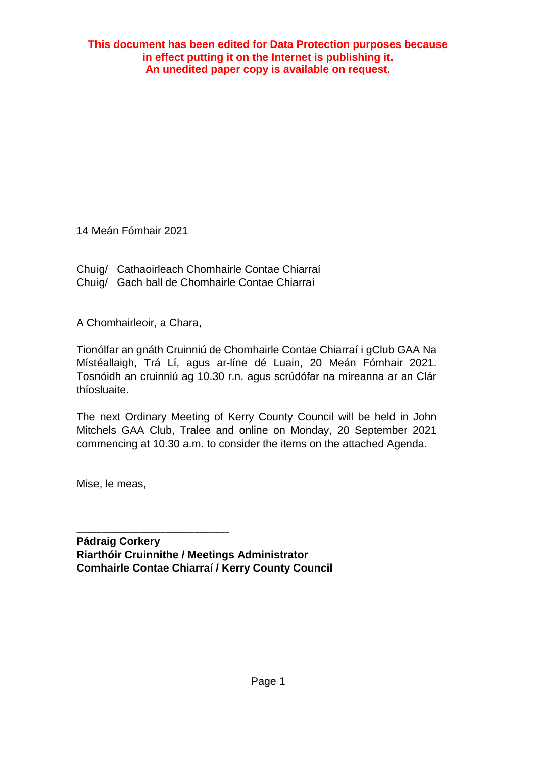**This document has been edited for Data Protection purposes because in effect putting it on the Internet is publishing it. An unedited paper copy is available on request.**

14 Meán Fómhair 2021

Chuig/ Cathaoirleach Chomhairle Contae Chiarraí Chuig/ Gach ball de Chomhairle Contae Chiarraí

A Chomhairleoir, a Chara,

Tionólfar an gnáth Cruinniú de Chomhairle Contae Chiarraí i gClub GAA Na Místéallaigh, Trá Lí, agus ar-líne dé Luain, 20 Meán Fómhair 2021. Tosnóidh an cruinniú ag 10.30 r.n. agus scrúdófar na míreanna ar an Clár thíosluaite.

The next Ordinary Meeting of Kerry County Council will be held in John Mitchels GAA Club, Tralee and online on Monday, 20 September 2021 commencing at 10.30 a.m. to consider the items on the attached Agenda.

Mise, le meas,

\_\_\_\_\_\_\_\_\_\_\_\_\_\_\_\_\_\_\_\_\_\_\_\_\_\_\_\_\_\_\_ **Pádraig Corkery Riarthóir Cruinnithe / Meetings Administrator Comhairle Contae Chiarraí / Kerry County Council**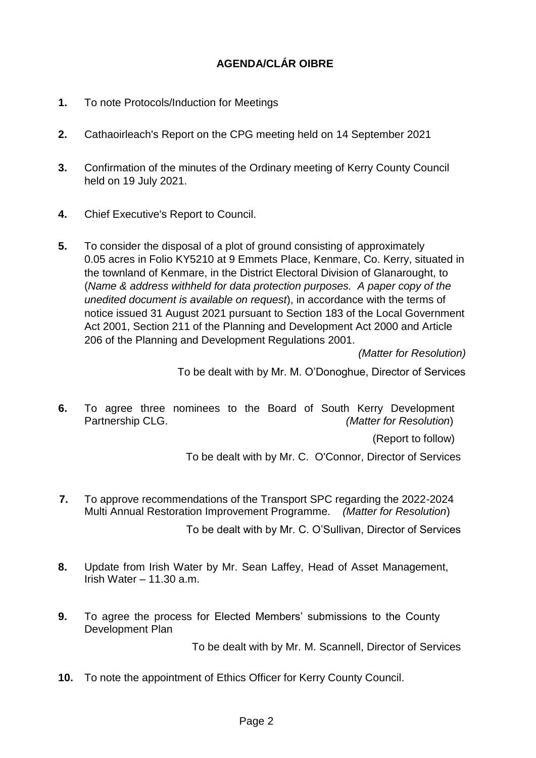## **AGENDA/CLÁR OIBRE**

- **1.** To note Protocols/Induction for Meetings
- **2.** Cathaoirleach's Report on the CPG meeting held on 14 September 2021
- **3.** Confirmation of the minutes of the Ordinary meeting of Kerry County Council held on 19 July 2021.
- **4.** Chief Executive's Report to Council.
- **5.** To consider the disposal of a plot of ground consisting of approximately 0.05 acres in Folio KY5210 at 9 Emmets Place, Kenmare, Co. Kerry, situated in the townland of Kenmare, in the District Electoral Division of Glanarought, to (*Name & address withheld for data protection purposes. A paper copy of the unedited document is available on request*), in accordance with the terms of notice issued 31 August 2021 pursuant to Section 183 of the Local Government Act 2001, Section 211 of the Planning and Development Act 2000 and Article 206 of the Planning and Development Regulations 2001.

*(Matter for Resolution)*

To be dealt with by Mr. M. O'Donoghue, Director of Services

**6.** To agree three nominees to the Board of South Kerry Development Partnership CLG. *(Matter for Resolution*)

(Report to follow)

To be dealt with by Mr. C. O'Connor, Director of Services

- **7.** To approve recommendations of the Transport SPC regarding the 2022-2024 Multi Annual Restoration Improvement Programme. *(Matter for Resolution*) To be dealt with by Mr. C. O'Sullivan, Director of Services
- **8.** Update from Irish Water by Mr. Sean Laffey, Head of Asset Management, Irish Water  $-11.30$  a.m.
- **9.** To agree the process for Elected Members' submissions to the County Development Plan

To be dealt with by Mr. M. Scannell, Director of Services

**10.** To note the appointment of Ethics Officer for Kerry County Council.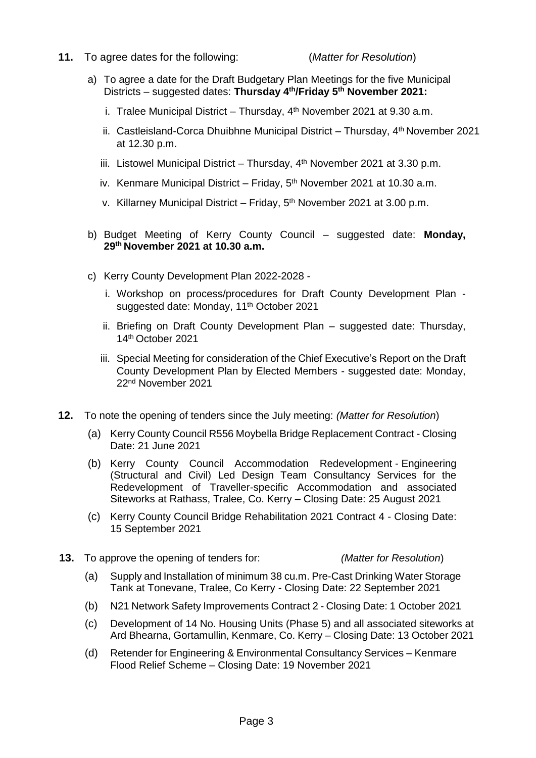**11.** To agree dates for the following: (*Matter for Resolution*)

- a) To agree a date for the Draft Budgetary Plan Meetings for the five Municipal Districts – suggested dates: **Thursday 4th/Friday 5th November 2021:** 
	- i. Tralee Municipal District Thursday,  $4<sup>th</sup>$  November 2021 at 9.30 a.m.
	- ii. Castleisland-Corca Dhuibhne Municipal District Thursday, 4<sup>th</sup> November 2021 at 12.30 p.m.
	- iii. Listowel Municipal District Thursday,  $4<sup>th</sup>$  November 2021 at 3.30 p.m.
	- iv. Kenmare Municipal District Friday, 5<sup>th</sup> November 2021 at 10.30 a.m.
	- v. Killarney Municipal District Friday, 5<sup>th</sup> November 2021 at 3.00 p.m.
- b) Budget Meeting of Kerry County Council suggested date: **Monday, 29th November 2021 at 10.30 a.m.**
- c) Kerry County Development Plan 2022-2028
	- i. Workshop on process/procedures for Draft County Development Plan suggested date: Monday, 11<sup>th</sup> October 2021
	- ii. Briefing on Draft County Development Plan suggested date: Thursday, 14th October 2021
	- iii. Special Meeting for consideration of the Chief Executive's Report on the Draft County Development Plan by Elected Members - suggested date: Monday, 22nd November 2021
- **12.** To note the opening of tenders since the July meeting: *(Matter for Resolution*)
	- (a) Kerry County Council R556 Moybella Bridge Replacement Contract Closing Date: 21 June 2021
	- (b) Kerry County Council Accommodation Redevelopment Engineering (Structural and Civil) Led Design Team Consultancy Services for the Redevelopment of Traveller-specific Accommodation and associated Siteworks at Rathass, Tralee, Co. Kerry – Closing Date: 25 August 2021
	- (c) Kerry County Council Bridge Rehabilitation 2021 Contract 4 Closing Date: 15 September 2021
- **13.** To approve the opening of tenders for: *(Matter for Resolution*)
	- (a) Supply and Installation of minimum 38 cu.m. Pre-Cast Drinking Water Storage Tank at Tonevane, Tralee, Co Kerry - Closing Date: 22 September 2021
	- (b) N21 Network Safety Improvements Contract 2 Closing Date: 1 October 2021
	- (c) Development of 14 No. Housing Units (Phase 5) and all associated siteworks at Ard Bhearna, Gortamullin, Kenmare, Co. Kerry – Closing Date: 13 October 2021
	- (d) Retender for Engineering & Environmental Consultancy Services Kenmare Flood Relief Scheme – Closing Date: 19 November 2021